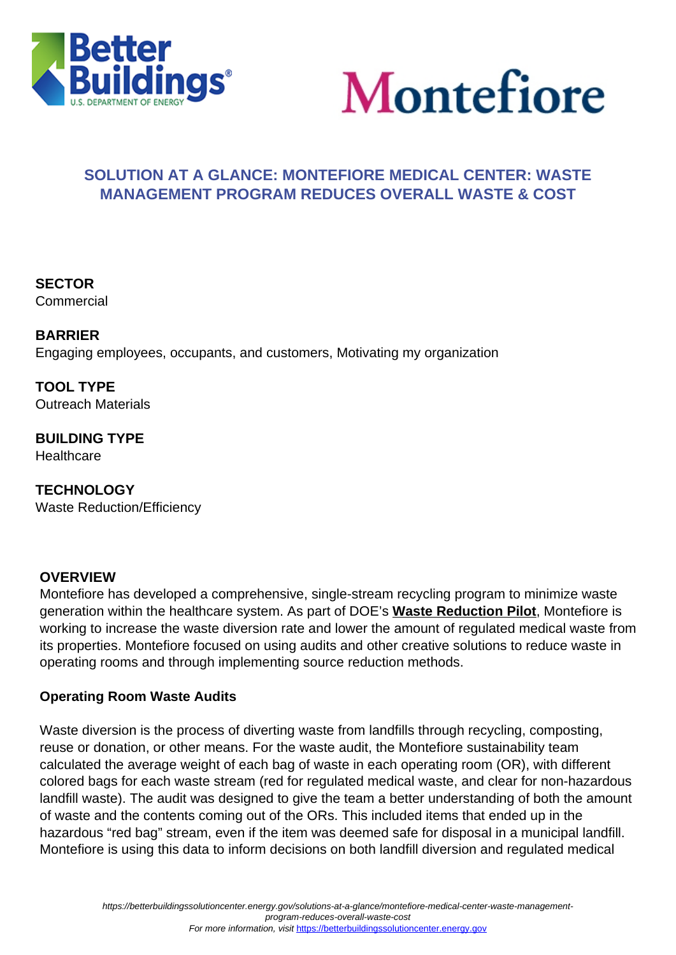



# **SOLUTION AT A GLANCE: MONTEFIORE MEDICAL CENTER: WASTE MANAGEMENT PROGRAM REDUCES OVERALL WASTE & COST**

**SECTOR** Commercial

**BARRIER** Engaging employees, occupants, and customers, Motivating my organization

**TOOL TYPE** Outreach Materials

**BUILDING TYPE Healthcare** 

**TECHNOLOGY** Waste Reduction/Efficiency

## **OVERVIEW**

Montefiore has developed a comprehensive, single-stream recycling program to minimize waste generation within the healthcare system. As part of DOE's **[Waste Reduction Pilot](https://betterbuildingssolutioncenter.energy.gov/special-initiatives/waste-reduction-pilot/meet-partners)**, Montefiore is working to increase the waste diversion rate and lower the amount of regulated medical waste from its properties. Montefiore focused on using audits and other creative solutions to reduce waste in operating rooms and through implementing source reduction methods.

#### **Operating Room Waste Audits**

Waste diversion is the process of diverting waste from landfills through recycling, composting, reuse or donation, or other means. For the waste audit, the Montefiore sustainability team calculated the average weight of each bag of waste in each operating room (OR), with different colored bags for each waste stream (red for regulated medical waste, and clear for non-hazardous landfill waste). The audit was designed to give the team a better understanding of both the amount of waste and the contents coming out of the ORs. This included items that ended up in the hazardous "red bag" stream, even if the item was deemed safe for disposal in a municipal landfill. Montefiore is using this data to inform decisions on both landfill diversion and regulated medical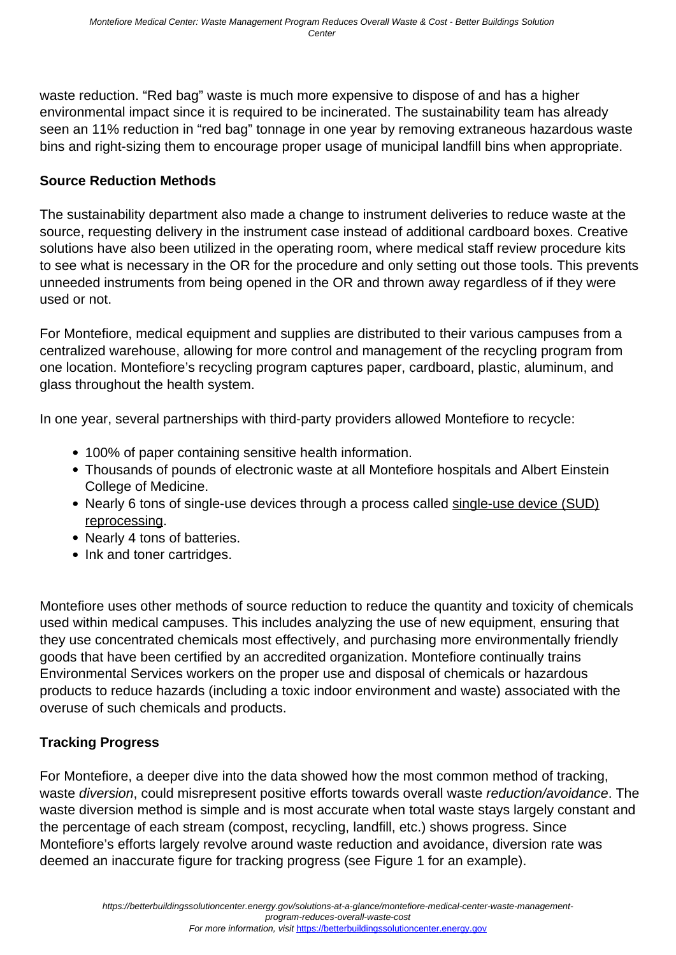waste reduction. "Red bag" waste is much more expensive to dispose of and has a higher environmental impact since it is required to be incinerated. The sustainability team has already seen an 11% reduction in "red bag" tonnage in one year by removing extraneous hazardous waste bins and right-sizing them to encourage proper usage of municipal landfill bins when appropriate.

### **Source Reduction Methods**

The sustainability department also made a change to instrument deliveries to reduce waste at the source, requesting delivery in the instrument case instead of additional cardboard boxes. Creative solutions have also been utilized in the operating room, where medical staff review procedure kits to see what is necessary in the OR for the procedure and only setting out those tools. This prevents unneeded instruments from being opened in the OR and thrown away regardless of if they were used or not.

For Montefiore, medical equipment and supplies are distributed to their various campuses from a centralized warehouse, allowing for more control and management of the recycling program from one location. Montefiore's recycling program captures paper, cardboard, plastic, aluminum, and glass throughout the health system.

In one year, several partnerships with third-party providers allowed Montefiore to recycle:

- 100% of paper containing sensitive health information.
- Thousands of pounds of electronic waste at all Montefiore hospitals and Albert Einstein College of Medicine.
- Nearly 6 tons of single-use devices through a process called [single-use device \(SUD\)](https://www.law.uh.edu/healthlaw/perspectives/Food/991221Singleuse.html#:~:text=If%20original%20equipment%20manufacturers%20want,facilities%20are%20not%20similarly%20regulated.) [reprocessing.](https://www.law.uh.edu/healthlaw/perspectives/Food/991221Singleuse.html#:~:text=If%20original%20equipment%20manufacturers%20want,facilities%20are%20not%20similarly%20regulated.)
- Nearly 4 tons of batteries.
- Ink and toner cartridges.

Montefiore uses other methods of source reduction to reduce the quantity and toxicity of chemicals used within medical campuses. This includes analyzing the use of new equipment, ensuring that they use concentrated chemicals most effectively, and purchasing more environmentally friendly goods that have been certified by an accredited organization. Montefiore continually trains Environmental Services workers on the proper use and disposal of chemicals or hazardous products to reduce hazards (including a toxic indoor environment and waste) associated with the overuse of such chemicals and products.

## **Tracking Progress**

For Montefiore, a deeper dive into the data showed how the most common method of tracking, waste diversion, could misrepresent positive efforts towards overall waste reduction/avoidance. The waste diversion method is simple and is most accurate when total waste stays largely constant and the percentage of each stream (compost, recycling, landfill, etc.) shows progress. Since Montefiore's efforts largely revolve around waste reduction and avoidance, diversion rate was deemed an inaccurate figure for tracking progress (see Figure 1 for an example).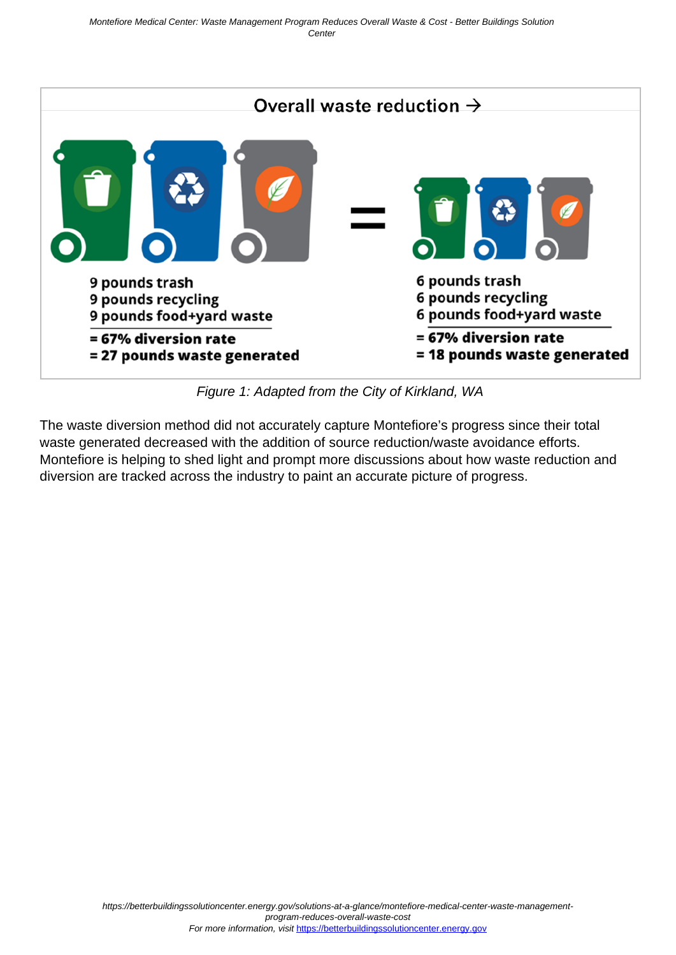

Figure 1: Adapted from the City of Kirkland, WA

The waste diversion method did not accurately capture Montefiore's progress since their total waste generated decreased with the addition of source reduction/waste avoidance efforts. Montefiore is helping to shed light and prompt more discussions about how waste reduction and diversion are tracked across the industry to paint an accurate picture of progress.